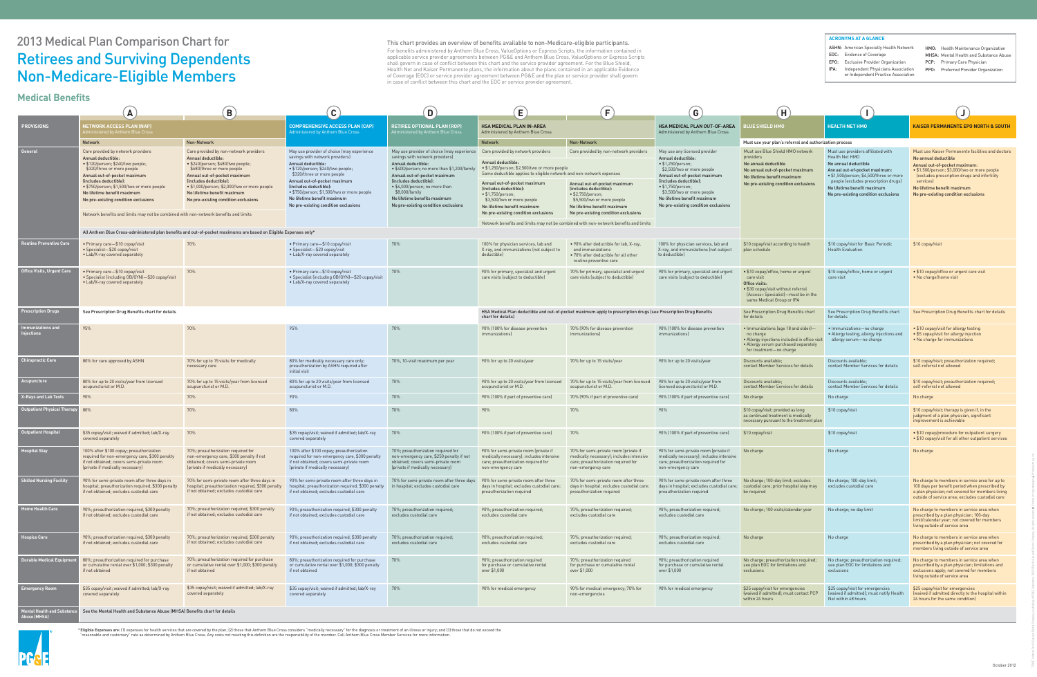# 2013 Medical Plan Comparison Chart for Retirees and Surviving Dependents Non-Medicare-Eligible Members

This chart provides an overview of benefits available to non-Medicare-eligible participants. For benefits administered by Anthem Blue Cross, ValueOptions or Express Scripts, the information contained in applicable service provider agreements between PG&E and Anthem Blue Cross, ValueOptions or Express Scripts shall govern in case of conflict between this chart and the service provider agreement. For the Blue Shield, Health Net and Kaiser Permanente plans, the information about the plans contained in an applicable Evidence of Coverage (EOC) or service provider agreement between PG&E and the plan or service provider shall govern in case of conflict between this chart and the EOC or service provider agreement.

\* Eligible Expenses are: (1) expenses for health services that are covered by the plan; (2) those that Anthem Blue Cross considers "medically necessary" for the diagnosis or treatment of an illness or injury; and (3) those "reasonable and customary" rate as determined by Anthem Blue Cross. Any costs not meeting this definition are the responsibility of the member. Call Anthem Blue Cross Member Services for more information.

| <u>Medical Beliefilis</u>              | $\mathbf{A}$                                                                                                                                                                                                                                                                                                      | $\left( \mathbf{B}\right)$                                                                                                                                                                                                                                                                                              | $\mathbf{C}$                                                                                                                                                                                                                                                                                                                                          | D)                                                                                                                                                                                                                                                                                                                                   | E                                                                                                                                                                                                                                                                                                     | $\boxed{F}$                                                                                                                                                 | $\boxed{G}$                                                                                                                                                                                                                                                                                                | (H)                                                                                                                                                                             |                                                                                                                                                                                                                                                                         |                                                                                                                                                                                                                                                                                                |  |
|----------------------------------------|-------------------------------------------------------------------------------------------------------------------------------------------------------------------------------------------------------------------------------------------------------------------------------------------------------------------|-------------------------------------------------------------------------------------------------------------------------------------------------------------------------------------------------------------------------------------------------------------------------------------------------------------------------|-------------------------------------------------------------------------------------------------------------------------------------------------------------------------------------------------------------------------------------------------------------------------------------------------------------------------------------------------------|--------------------------------------------------------------------------------------------------------------------------------------------------------------------------------------------------------------------------------------------------------------------------------------------------------------------------------------|-------------------------------------------------------------------------------------------------------------------------------------------------------------------------------------------------------------------------------------------------------------------------------------------------------|-------------------------------------------------------------------------------------------------------------------------------------------------------------|------------------------------------------------------------------------------------------------------------------------------------------------------------------------------------------------------------------------------------------------------------------------------------------------------------|---------------------------------------------------------------------------------------------------------------------------------------------------------------------------------|-------------------------------------------------------------------------------------------------------------------------------------------------------------------------------------------------------------------------------------------------------------------------|------------------------------------------------------------------------------------------------------------------------------------------------------------------------------------------------------------------------------------------------------------------------------------------------|--|
| <b>PROVISIONS</b>                      | <b>IETWORK ACCESS PLAN (NAP)</b><br>istered by Anthem Blue Cross                                                                                                                                                                                                                                                  |                                                                                                                                                                                                                                                                                                                         | <b>COMPREHENSIVE ACCESS PLAN (CAP)</b><br><b>Administered by Anthem Blue Cross</b>                                                                                                                                                                                                                                                                    | <b>RETIREE OPTIONAL PLAN (ROP)</b><br>Administered by Anthem Blue Cross                                                                                                                                                                                                                                                              | <b>HSA MEDICAL PLAN IN-AREA</b><br>Administered by Anthem Blue Cross                                                                                                                                                                                                                                  |                                                                                                                                                             | <b>HSA MEDICAL PLAN OUT-OF-AREA</b><br>Administered by Anthem Blue Cross                                                                                                                                                                                                                                   | <b>LUE SHIELD HMO</b>                                                                                                                                                           | l HEALTH NET HMO                                                                                                                                                                                                                                                        | <b>KAISER PERMANENTE EPO NORTH &amp; SOUTH</b>                                                                                                                                                                                                                                                 |  |
|                                        | <b>Network</b>                                                                                                                                                                                                                                                                                                    | Non-Network                                                                                                                                                                                                                                                                                                             |                                                                                                                                                                                                                                                                                                                                                       |                                                                                                                                                                                                                                                                                                                                      | <b>Network</b>                                                                                                                                                                                                                                                                                        | Non-Network                                                                                                                                                 |                                                                                                                                                                                                                                                                                                            | Must use your plan's referral and authorization process                                                                                                                         |                                                                                                                                                                                                                                                                         |                                                                                                                                                                                                                                                                                                |  |
| <b>General</b>                         | Care provided by network providers<br><b>Annual deductible:</b><br>· \$120/person; \$240/two people;<br>\$320/three or more people<br>Annual out-of-pocket maximum<br>(includes deductible):<br>• \$750/person; \$1,500/two or more people<br>No lifetime benefit maximum<br>No pre-existing condition exclusions | Care provided by non-network providers<br><b>Annual deductible:</b><br>· \$240/person; \$480/two people;<br>\$680/three or more people<br>Annual out-of-pocket maximum<br>(includes deductible):<br>· \$1,000/person; \$2,000/two or more people<br>No lifetime benefit maximum<br>No pre-existing condition exclusions | May use provider of choice (may experience<br>savings with network providers)<br>Annual deductible:<br>• \$120/person; \$240/two people;<br>\$320/three or more people<br>Annual out-of-pocket maximum<br>(includes deductible):<br>• \$750/person; \$1,500/two or more people<br>No lifetime benefit maximum<br>No pre-existing condition exclusions | May use provider of choice (may experien<br>savings with network providers)<br>Annual deductible:<br>• \$400/person; no more than \$1,200/fami<br>Annual out-of-pocket maximum<br>(includes deductible):<br>• \$4,000/person; no more than<br>\$8,000/family<br>No lifetime benefits maximum<br>No pre-existing condition exclusions | Care provided by network providers<br>Annual deductible:<br>• \$1,250/person; \$2,500/two or more people<br>Same deductible applies to eligible network and non-network expenses<br>Annual out-of-pocket maximum<br>(includes deductible):<br>$\bullet$ \$1,750/person;<br>\$3,500/two or more people | Care provided by non-network providers<br>Annual out-of-pocket maximum<br>(includes deductible):<br>$\bullet$ \$2,750/person;<br>\$5,500/two or more people | May use any licensed provider<br>Annual deductible:<br>$\bullet$ \$1,250/person;<br>\$2,500/two or more people<br>Annual out-of-pocket maximum<br>(includes deductible):<br>$\bullet$ \$1,750/person;<br>\$3,500/two or more people<br>No lifetime benefit maximum<br>No pre-existing condition exclusions | Must use Blue Shield HMO network<br>providers<br>No annual deductible<br>No annual out-of-pocket maximum<br>No lifetime benefit maximum<br>No pre-existing condition exclusions | Must use providers affiliated with<br>Health Net HMO<br>No annual deductible<br>Annual out-of-pocket maximum:<br>• \$1,500/person; \$4,500/three or more<br>people (excludes prescription drugs)<br>No lifetime benefit maximum<br>No pre-existing condition exclusions | Must use Kaiser Permanente facilities and doctors<br>No annual deductible<br>Annual out-of-pocket maximum:<br>• \$1,500/person; \$3,000/two or more people<br>lexcludes prescription drugs and infertility<br>services)<br>No lifetime benefit maximum<br>No pre-existing condition exclusions |  |
|                                        | Network benefits and limits may not be combined with non-network benefits and limits                                                                                                                                                                                                                              |                                                                                                                                                                                                                                                                                                                         |                                                                                                                                                                                                                                                                                                                                                       |                                                                                                                                                                                                                                                                                                                                      | No lifetime benefit maximum<br>No pre-existing condition exclusion                                                                                                                                                                                                                                    | No lifetime benefit maximum<br>No pre-existing condition exclusions                                                                                         |                                                                                                                                                                                                                                                                                                            |                                                                                                                                                                                 |                                                                                                                                                                                                                                                                         |                                                                                                                                                                                                                                                                                                |  |
|                                        |                                                                                                                                                                                                                                                                                                                   |                                                                                                                                                                                                                                                                                                                         |                                                                                                                                                                                                                                                                                                                                                       |                                                                                                                                                                                                                                                                                                                                      | Network benefits and limits may not be combined with non-network benefits and limits                                                                                                                                                                                                                  |                                                                                                                                                             |                                                                                                                                                                                                                                                                                                            |                                                                                                                                                                                 |                                                                                                                                                                                                                                                                         |                                                                                                                                                                                                                                                                                                |  |
| <b>Routine Preventive Care</b>         | All Anthem Blue Cross-administered plan benefits and out-of-pocket maximums are based on Eligible Expenses only*                                                                                                                                                                                                  |                                                                                                                                                                                                                                                                                                                         |                                                                                                                                                                                                                                                                                                                                                       |                                                                                                                                                                                                                                                                                                                                      |                                                                                                                                                                                                                                                                                                       |                                                                                                                                                             |                                                                                                                                                                                                                                                                                                            |                                                                                                                                                                                 |                                                                                                                                                                                                                                                                         |                                                                                                                                                                                                                                                                                                |  |
|                                        | • Primary care-\$10 copay/visit<br>• Specialist-\$20 copay/visit<br>• Lab/X-ray covered separately                                                                                                                                                                                                                | 70%                                                                                                                                                                                                                                                                                                                     | • Primary care-\$10 copay/visit<br>• Specialist-\$20 copay/visit<br>• Lab/X-ray covered separately                                                                                                                                                                                                                                                    | 70%                                                                                                                                                                                                                                                                                                                                  | 100% for physician services, lab and<br>X-ray, and immunizations (not subject to<br>deductible)                                                                                                                                                                                                       | • 90% after deductible for lab, X-ray,<br>and immunizations<br>• 70% after deductible for all other<br>routine preventive care                              | 100% for physician services, lab and<br>X-ray, and immunizations (not subject<br>to deductible)                                                                                                                                                                                                            | \$10 copay/visit according to health<br>plan schedule                                                                                                                           | \$10 copay/visit for Basic Periodic<br><b>Health Evaluation</b>                                                                                                                                                                                                         | \$10 copay/visit                                                                                                                                                                                                                                                                               |  |
| ffice Visits, Urgent Care              | • Primary care-\$10 copay/visit<br>• Specialist (including OB/GYN)-\$20 copay/visit<br>• Lab/X-ray covered separately                                                                                                                                                                                             | 70%                                                                                                                                                                                                                                                                                                                     | • Primary care-\$10 copay/visit<br>• Specialist (including OB/GYN)-\$20 copay/visit<br>• Lab/X-ray covered separately                                                                                                                                                                                                                                 | 70%                                                                                                                                                                                                                                                                                                                                  | 90% for primary, specialist and urgent<br>care visits (subject to deductible)                                                                                                                                                                                                                         | 70% for primary, specialist and urgent<br>care visits (subject to deductible)                                                                               | 90% for primary, specialist and urgent<br>care visits (subject to deductible)                                                                                                                                                                                                                              | • \$10 copay/office, home or urgent<br>care visit<br>Office visits:<br>• \$30 copay/visit without referral<br>(Access+ Specialist)-must be in the<br>same Medical Group or IPA  | \$10 copay/office, home or urgent<br>care visit                                                                                                                                                                                                                         | • \$10 copay/office or urgent care visit<br>• No charge/home visit                                                                                                                                                                                                                             |  |
| <b>Prescription Drugs</b>              | See Prescription Drug Benefits chart for details                                                                                                                                                                                                                                                                  |                                                                                                                                                                                                                                                                                                                         |                                                                                                                                                                                                                                                                                                                                                       |                                                                                                                                                                                                                                                                                                                                      | chart for details)                                                                                                                                                                                                                                                                                    | HSA Medical Plan deductible and out-of-pocket maximum apply to prescription drugs (see Prescription Drug Benefits                                           |                                                                                                                                                                                                                                                                                                            | See Prescription Drug Benefits chart<br>for details                                                                                                                             | See Prescription Drug Benefits chart<br>for details                                                                                                                                                                                                                     | See Prescription Drug Benefits chart for details                                                                                                                                                                                                                                               |  |
| munizations and<br>ections             | 95%                                                                                                                                                                                                                                                                                                               | 70%                                                                                                                                                                                                                                                                                                                     | 95%                                                                                                                                                                                                                                                                                                                                                   | 70%                                                                                                                                                                                                                                                                                                                                  | 90% (100% for disease prevention<br><i>immunizations)</i>                                                                                                                                                                                                                                             | 70% (90% for disease prevention<br><i>immunizations)</i>                                                                                                    | 90% (100% for disease prevention<br>immunizations)                                                                                                                                                                                                                                                         | • Immunizations (age 18 and older)-<br>no charge<br>• Allergy injections included in office visit<br>• Allergy serum purchased separately<br>for treatment-no charge            | • Immunizations-no charge<br>• Allergy testing, allergy injections a<br>allergy serum—no charge                                                                                                                                                                         | • \$10 copay/visit for allergy testing<br>• \$5 copay/visit for allergy injection<br>• No charge for immunizations                                                                                                                                                                             |  |
| <b>Chiropractic Care</b>               | 80% for care approved by ASHN                                                                                                                                                                                                                                                                                     | 70% for up to 15 visits for medically<br>necessary care                                                                                                                                                                                                                                                                 | 80% for medically necessary care only;<br>preauthorization by ASHN required after<br>initial visit                                                                                                                                                                                                                                                    | 70%, 10-visit maximum per year                                                                                                                                                                                                                                                                                                       | 90% for up to 20 visits/year                                                                                                                                                                                                                                                                          | 70% for up to 15 visits/year                                                                                                                                | 90% for up to 20 visits/year                                                                                                                                                                                                                                                                               | Discounts available;<br>contact Member Services for details                                                                                                                     | Discounts available;<br>contact Member Services for details                                                                                                                                                                                                             | \$10 copay/visit; preauthorization required;<br>self-referral not allowed                                                                                                                                                                                                                      |  |
| cupuncture                             | 80% for up to 20 visits/year from licensed<br>acupuncturist or M.D.                                                                                                                                                                                                                                               | 70% for up to 15 visits/year from licensed<br>acupuncturist or M.D.                                                                                                                                                                                                                                                     | 80% for up to 20 visits/year from licensed<br>acupuncturist or M.D.                                                                                                                                                                                                                                                                                   | 70%                                                                                                                                                                                                                                                                                                                                  | 90% for up to 20 visits/year from licens<br>acupuncturist or M.D.                                                                                                                                                                                                                                     | 70% for up to 15 visits/year from licensed<br>acupuncturist or M.D.                                                                                         | 90% for up to 20 visits/year from<br>licensed acupuncturist or M.D.                                                                                                                                                                                                                                        | Discounts available;<br>contact Member Services for details                                                                                                                     | Discounts available;<br>contact Member Services for details                                                                                                                                                                                                             | \$10 copay/visit; preauthorization required;<br>self-referral not allowed                                                                                                                                                                                                                      |  |
| <b>X-Rays and Lab Tests</b>            | 90%                                                                                                                                                                                                                                                                                                               | 70%                                                                                                                                                                                                                                                                                                                     | 90%                                                                                                                                                                                                                                                                                                                                                   | 70%                                                                                                                                                                                                                                                                                                                                  | 90% (100% if part of preventive care)                                                                                                                                                                                                                                                                 | 70% (90% if part of preventive care)                                                                                                                        | 90% (100% if part of preventive care)                                                                                                                                                                                                                                                                      | No charge                                                                                                                                                                       | No charge                                                                                                                                                                                                                                                               | No charge                                                                                                                                                                                                                                                                                      |  |
| <b>Outpatient Physical Therapy</b> 80% |                                                                                                                                                                                                                                                                                                                   | 70%                                                                                                                                                                                                                                                                                                                     | 80%                                                                                                                                                                                                                                                                                                                                                   | 70%                                                                                                                                                                                                                                                                                                                                  | 90%                                                                                                                                                                                                                                                                                                   | 70%                                                                                                                                                         | 90%                                                                                                                                                                                                                                                                                                        | \$10 copay/visit; provided as long<br>as continued treatment is medically<br>necessary pursuant to the treatment plan                                                           | \$10 copay/visit                                                                                                                                                                                                                                                        | $$10$ copay/visit; therapy is given if, in the<br>judgment of a plan physician, significant<br>improvement is achievable                                                                                                                                                                       |  |
| <b>Outpatient Hospital</b>             | \$35 copay/visit; waived if admitted; lab/X-ray<br>covered separately                                                                                                                                                                                                                                             | 70%                                                                                                                                                                                                                                                                                                                     | \$35 copay/visit; waived if admitted; lab/X-ray<br>covered separately                                                                                                                                                                                                                                                                                 | 70%                                                                                                                                                                                                                                                                                                                                  | 90% (100% if part of preventive care)                                                                                                                                                                                                                                                                 | 70%                                                                                                                                                         | 90% (100% if part of preventive care)                                                                                                                                                                                                                                                                      | \$10 copay/visit                                                                                                                                                                | \$10 copay/visit                                                                                                                                                                                                                                                        | • \$10 copay/procedure for outpatient surgery<br>• \$10 copay/visit for all other outpatient services                                                                                                                                                                                          |  |
| pspital Stay                           | 100% after \$100 copay; preauthorization<br>required for non-emergency care, \$300 penalty<br>if not obtained; covers semi-private room<br>(private if medically necessary)                                                                                                                                       | 70%; preauthorization required for<br>non-emergency care, \$300 penalty if not<br>obtained; covers semi-private room<br>(private if medically necessary)                                                                                                                                                                | 100% after \$100 copay; preauthorization<br>required for non-emergency care, \$300 penalty<br>if not obtained; covers semi-private room<br>(private if medically necessary)                                                                                                                                                                           | 70%; preauthorization required for<br>non-emergency care, \$250 penalty if not<br>obtained; covers semi-private room<br>(private if medically necessary)                                                                                                                                                                             | 90% for semi-private room (private if<br>medically necessary); includes intensi<br>care; preauthorization required for<br>non-emergency care                                                                                                                                                          | 70% for semi-private room (private if<br>medically necessary); includes intensiv<br>care; preauthorization required for<br>non-emergency care               | 90% for semi-private room (private if<br>medically necessary); includes intensive<br>care; preauthorization required for<br>non-emergency care                                                                                                                                                             | No charge                                                                                                                                                                       | No charge                                                                                                                                                                                                                                                               | No charge                                                                                                                                                                                                                                                                                      |  |
| <b>Skilled Nursing Facility</b>        | 90% for semi-private room after three days in<br>hospital; preauthorization required, \$300 penalty<br>if not obtained; excludes custodial care                                                                                                                                                                   | 70% for semi-private room after three days i<br>hospital; preauthorization required, \$300 penalty<br>if not obtained; excludes custodial care                                                                                                                                                                          | 90% for semi-private room after three days in<br>hospital; preauthorization required, \$300 penalty<br>if not obtained; excludes custodial care                                                                                                                                                                                                       | 70% for semi-private room after three day<br>in hospital; excludes custodial care                                                                                                                                                                                                                                                    | 90% for semi-private room after three<br>days in hospital; excludes custodial care;<br>preauthorization required                                                                                                                                                                                      | 70% for semi-private room after three<br>days in hospital; excludes custodial care<br>preauthorization required                                             | 90% for semi-private room after three<br>days in hospital; excludes custodial care;<br>preauthorization required                                                                                                                                                                                           | No charge; 100-day limit; excludes<br>custodial care; prior hospital stay may<br>be required                                                                                    | No charge; 100-day limit;<br>excludes custodial care                                                                                                                                                                                                                    | No charge to members in service area for up to<br>100 days per benefit period when prescribed by<br>a plan physician; not covered for members living<br>outside of service area; excludes custodial care                                                                                       |  |
| ome Health Care                        | 90%; preauthorization required, \$300 penalty<br>if not obtained; excludes custodial care                                                                                                                                                                                                                         | 70%; preauthorization required, \$300 penalty<br>if not obtained; excludes custodial care                                                                                                                                                                                                                               | 90%; preauthorization required, \$300 penalty<br>if not obtained; excludes custodial care                                                                                                                                                                                                                                                             | 70%; preauthorization required;<br>excludes custodial care                                                                                                                                                                                                                                                                           | 90%; preauthorization required;<br>excludes custodial care                                                                                                                                                                                                                                            | 70%; preauthorization required;<br>excludes custodial care                                                                                                  | 90%; preauthorization required;<br>excludes custodial care                                                                                                                                                                                                                                                 | No charge; 100 visits/calendar year                                                                                                                                             | No charge; no day limit                                                                                                                                                                                                                                                 | No charge to members in service area when<br>prescribed by a plan physician; 100-day<br>limit/calendar year; not covered for members<br>living outside of service area                                                                                                                         |  |
| <b>Spice Care</b>                      | 90%; preauthorization required, \$300 penalty<br>if not obtained; excludes custodial care                                                                                                                                                                                                                         | 70%; preauthorization required, \$300 penalty<br>if not obtained; excludes custodial care                                                                                                                                                                                                                               | 90%; preauthorization required, \$300 penalty<br>if not obtained; excludes custodial care                                                                                                                                                                                                                                                             | 70%; preauthorization required;<br>excludes custodial care                                                                                                                                                                                                                                                                           | 90%; preauthorization required;<br>excludes custodial care                                                                                                                                                                                                                                            | 70%; preauthorization required;<br>excludes custodial care                                                                                                  | 90%; preauthorization required;<br>excludes custodial care                                                                                                                                                                                                                                                 | No charge                                                                                                                                                                       | No charge                                                                                                                                                                                                                                                               | No charge to members in service area when<br>prescribed by a plan physician; not covered for<br>members living outside of service area                                                                                                                                                         |  |
| Durable Medical Equipmer               | 80%; preauthorization required for purchase<br>or cumulative rental over \$1,000; \$300 penalty<br>if not obtained                                                                                                                                                                                                | 70%; preauthorization required for purchase<br>or cumulative rental over \$1,000; \$300 penalty<br>if not obtained                                                                                                                                                                                                      | 80%; preauthorization required for purchase<br>or cumulative rental over \$1,000; \$300 penalty<br>if not obtained                                                                                                                                                                                                                                    | 70%                                                                                                                                                                                                                                                                                                                                  | 90%; preauthorization required<br>for purchase or cumulative rental<br>over \$1,000                                                                                                                                                                                                                   | 70%; preauthorization required<br>for purchase or cumulative rental<br>over \$1,000                                                                         | 90%; preauthorization required<br>for purchase or cumulative rental<br>over \$1,000                                                                                                                                                                                                                        | No charge; preauthorization required;<br>see plan EOC for limitations and<br>exclusions                                                                                         | No charge; preauthorization required<br>see plan EOC for limitations and<br>exclusions                                                                                                                                                                                  | No charge to members in service area when<br>prescribed by a plan physician; limitations and<br>exclusions apply; not covered for members<br>living outside of service area                                                                                                                    |  |
| <b>Emergency Room</b>                  | \$35 copay/visit; waived if admitted; lab/X-ray<br>covered separately                                                                                                                                                                                                                                             | \$35 copay/visit; waived if admitted; lab/X-ray<br>covered separately                                                                                                                                                                                                                                                   | \$35 copay/visit; waived if admitted; lab/X-ray<br>covered separately                                                                                                                                                                                                                                                                                 | 70%                                                                                                                                                                                                                                                                                                                                  | 90% for medical emergency                                                                                                                                                                                                                                                                             | 90% for medical emergency; 70% for<br>non-emergencies                                                                                                       | 90% for medical emergency                                                                                                                                                                                                                                                                                  | \$25 copay/visit for emergencies<br>(waived if admitted); must contact PCP<br>within 24 hours                                                                                   | \$25 copay/visit for emergencies<br>(waived if admitted); must notify Heal<br>Net within 48 hours                                                                                                                                                                       | \$25 copay/visit for emergencies<br>waived if admitted directly to the hospital within<br>24 hours for the same condition)                                                                                                                                                                     |  |
| ental Health and Substar<br>use (MHSA) | See the Mental Health and Substance Abuse (MHSA) Benefits chart for details                                                                                                                                                                                                                                       |                                                                                                                                                                                                                                                                                                                         |                                                                                                                                                                                                                                                                                                                                                       |                                                                                                                                                                                                                                                                                                                                      |                                                                                                                                                                                                                                                                                                       |                                                                                                                                                             |                                                                                                                                                                                                                                                                                                            |                                                                                                                                                                                 |                                                                                                                                                                                                                                                                         |                                                                                                                                                                                                                                                                                                |  |



### **ACRONYMS AT A GLANCE**

- ASHN: American Specialty Health Network
- EOC: Evidence of Coverage
- EPO: Exclusive Provider Organization
- IPA: Independent Physicians Association or Independent Practice Association
- MHSA: Mental Health and Substance Abuse PCP: Primary Care Physician

HMO: Health Maintenance Organization

PPO: Preferred Provider Organization

### **Medical Benefits**